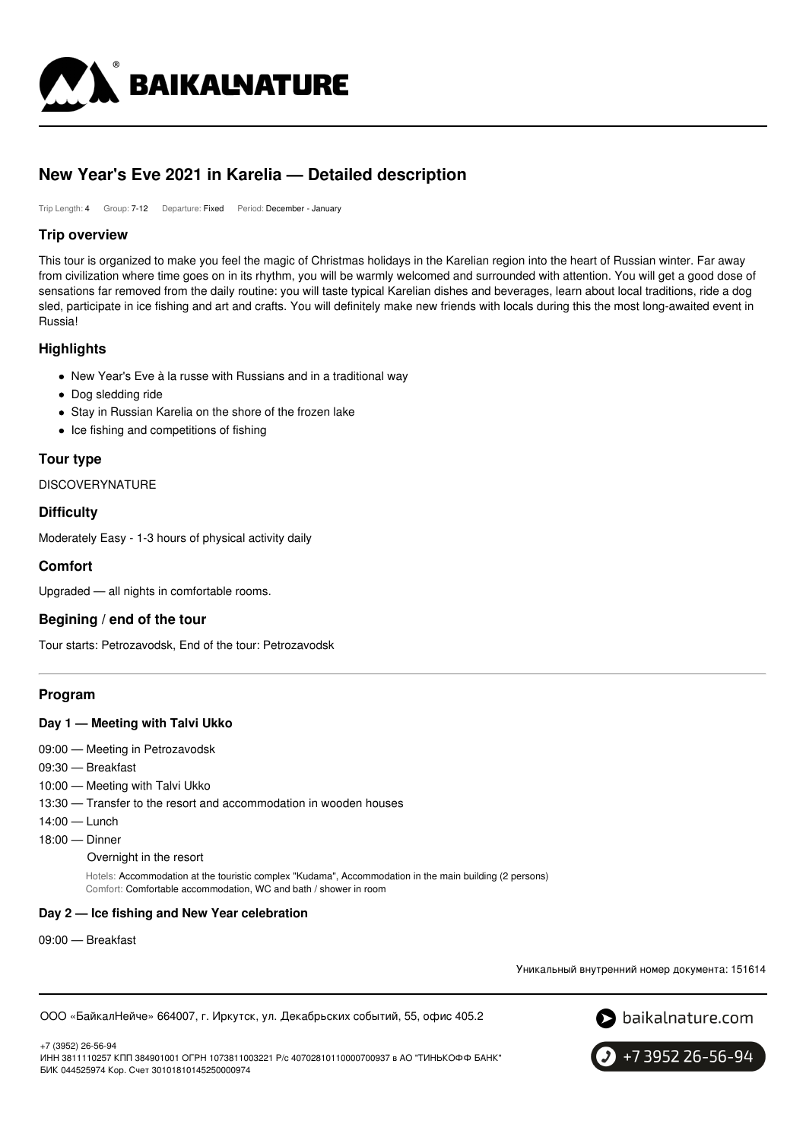

# **New Year's Eve 2021 in Karelia — Detailed description**

Trip Length: 4 Group: 7-12 Departure: Fixed Period: December - January

# **Trip overview**

This tour is organized to make you feel the magic of Christmas holidays in the Karelian region into the heart of Russian winter. Far away from civilization where time goes on in its rhythm, you will be warmly welcomed and surrounded with attention. You will get a good dose of sensations far removed from the daily routine: you will taste typical Karelian dishes and beverages, learn about local traditions, ride a dog sled, participate in ice fishing and art and crafts. You will definitely make new friends with locals during this the most long-awaited event in Russia!

# **Highlights**

- New Year's Eve à la russe with Russians and in a traditional way
- Dog sledding ride
- Stay in Russian Karelia on the shore of the frozen lake
- Ice fishing and competitions of fishing

# **Tour type**

**DISCOVERYNATURE** 

# **Difficulty**

Moderately Easy - 1-3 hours of physical activity daily

# **Comfort**

Upgraded — all nights in comfortable rooms.

# **Begining / end of the tour**

Tour starts: Petrozavodsk, End of the tour: Petrozavodsk

# **Program**

### **Day 1 — Meeting with Talvi Ukko**

- 09:00 Meeting in Petrozavodsk
- 09:30 Breakfast
- 10:00 Meeting with Talvi Ukko
- 13:30 Transfer to the resort and accommodation in wooden houses
- 14:00 Lunch
- 18:00 Dinner

Overnight in the resort

Hotels: Accommodation at the touristic complex "Kudama", Accommodation in the main building (2 persons) Comfort: Comfortable accommodation, WC and bath / shower in room

### **Day 2 — Ice fishing and New Year celebration**

09:00 — Breakfast

Уникальный внутренний номер документа: 151614

ООО «БайкалНейче» 664007, г. Иркутск, ул. Декабрьских событий, 55, офис 405.2



+7 (3952) 26-56-94

ИНН 3811110257 КПП 384901001 ОГРН 1073811003221 Р/с 40702810110000700937 в АО "ТИНЬКОФФ БАНК" БИК 044525974 Кор. Счет 30101810145250000974

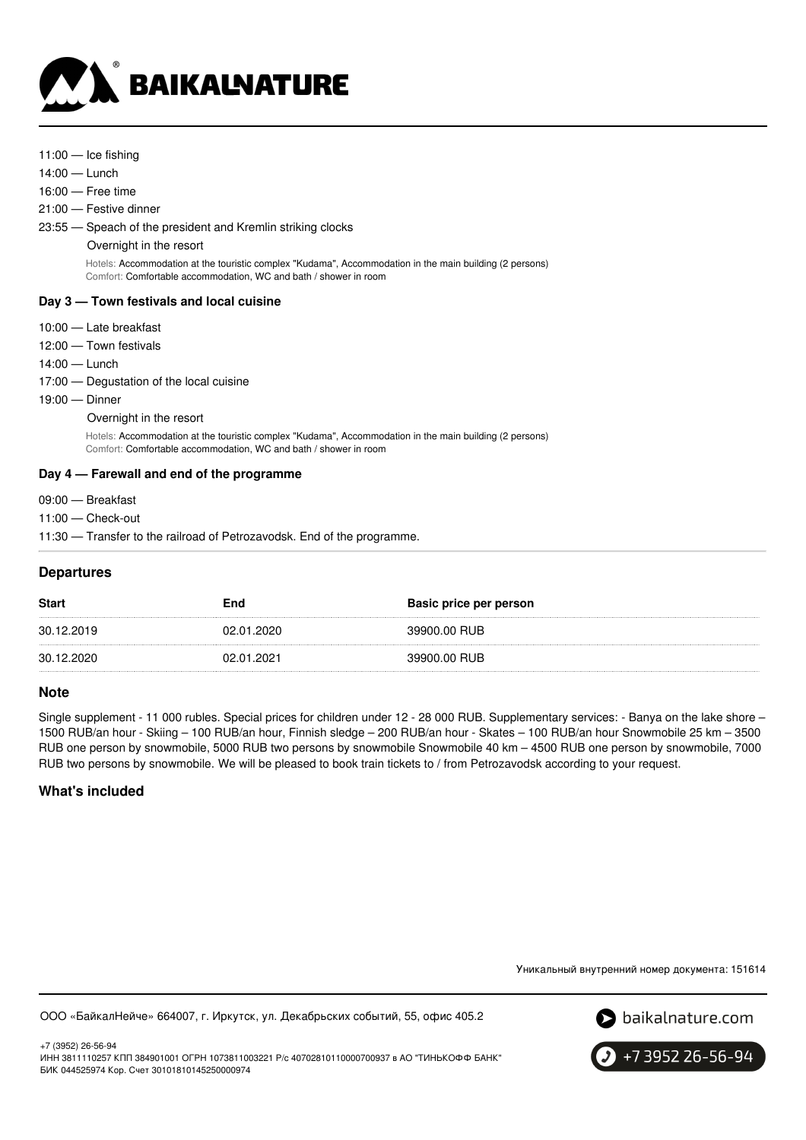

- 11:00 Ice fishing
- 14:00 Lunch
- 16:00 Free time
- 21:00 Festive dinner
- 23:55 Speach of the president and Kremlin striking clocks
	- Overnight in the resort

Hotels: Accommodation at the touristic complex "Kudama", Accommodation in the main building (2 persons) Comfort: Comfortable accommodation, WC and bath / shower in room

# **Day 3 — Town festivals and local cuisine**

- 10:00 Late breakfast
- 12:00 Town festivals
- 14:00 Lunch
- 17:00 Degustation of the local cuisine
- 19:00 Dinner

Overnight in the resort

Hotels: Accommodation at the touristic complex "Kudama", Accommodation in the main building (2 persons) Comfort: Comfortable accommodation, WC and bath / shower in room

# **Day 4 — Farewall and end of the programme**

- 09:00 Breakfast
- 11:00 Check-out
- 11:30 Transfer to the railroad of Petrozavodsk. End of the programme.

# **Departures**

| <b>Start</b> | End        | Basic price per person |
|--------------|------------|------------------------|
| 30.12.2019   | 02.01.2020 | 39900.00 RUB           |
| 30.12.2020   | 02.01.2021 | 39900.00 RUB           |

# **Note**

Single supplement - 11 000 rubles. Special prices for children under 12 - 28 000 RUB. Supplementary services: - Banya on the lake shore – 1500 RUB/an hour - Skiing – 100 RUB/an hour, Finnish sledge – 200 RUB/an hour - Skates – 100 RUB/an hour Snowmobile 25 km – 3500 RUB one person by snowmobile, 5000 RUB two persons by snowmobile Snowmobile 40 km – 4500 RUB one person by snowmobile, 7000 RUB two persons by snowmobile. We will be pleased to book train tickets to / from Petrozavodsk according to your request.

# **What's included**

Уникальный внутренний номер документа: 151614

ООО «БайкалНейче» 664007, г. Иркутск, ул. Декабрьских событий, 55, офис 405.2



+7 (3952) 26-56-94 ИНН 3811110257 КПП 384901001 ОГРН 1073811003221 Р/с 40702810110000700937 в АО "ТИНЬКОФФ БАНК" БИК 044525974 Кор. Счет 30101810145250000974

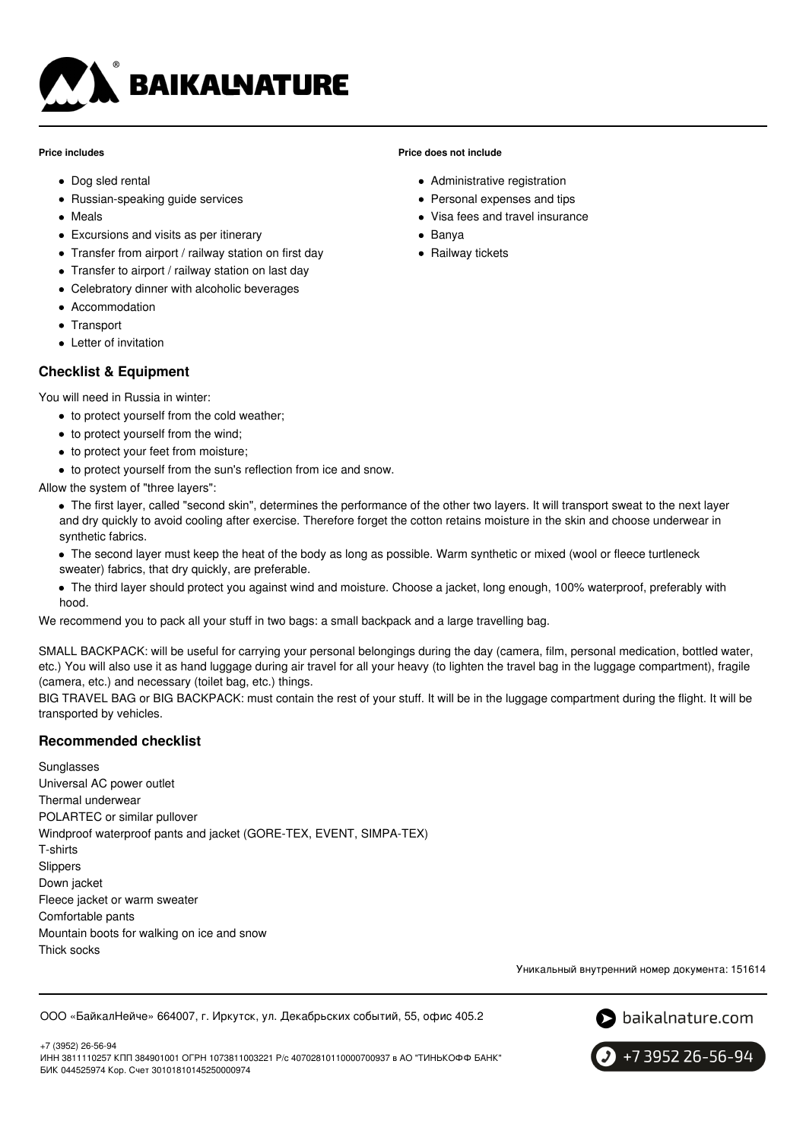

#### **Price includes**

- Dog sled rental
- Russian-speaking guide services
- Meals
- Excursions and visits as per itinerary
- Transfer from airport / railway station on first day
- Transfer to airport / railway station on last day
- Celebratory dinner with alcoholic beverages
- Accommodation
- Transport
- Letter of invitation

# **Checklist & Equipment**

You will need in Russia in winter:

- to protect yourself from the cold weather;
- to protect yourself from the wind;
- to protect your feet from moisture;
- to protect yourself from the sun's reflection from ice and snow.

Allow the system of "three layers":

- The first layer, called "second skin", determines the performance of the other two layers. It will transport sweat to the next layer and dry quickly to avoid cooling after exercise. Therefore forget the cotton retains moisture in the skin and choose underwear in synthetic fabrics.
- The second layer must keep the heat of the body as long as possible. Warm synthetic or mixed (wool or fleece turtleneck sweater) fabrics, that dry quickly, are preferable.
- The third layer should protect you against wind and moisture. Choose a jacket, long enough, 100% waterproof, preferably with hood.

We recommend you to pack all your stuff in two bags: a small backpack and a large travelling bag.

SMALL BACKPACK: will be useful for carrying your personal belongings during the day (camera, film, personal medication, bottled water, etc.) You will also use it as hand luggage during air travel for all your heavy (to lighten the travel bag in the luggage compartment), fragile (camera, etc.) and necessary (toilet bag, etc.) things.

BIG TRAVEL BAG or BIG BACKPACK: must contain the rest of your stuff. It will be in the luggage compartment during the flight. It will be transported by vehicles.

# **Recommended checklist**

Sunglasses Universal AC power outlet Thermal underwear POLARTEC or similar pullover Windproof waterproof pants and jacket (GORE-TEX, EVENT, SIMPA-TEX) T-shirts Slippers Down jacket Fleece jacket or warm sweater Comfortable pants Mountain boots for walking on ice and snow Thick socks

Уникальный внутренний номер документа: 151614

ООО «БайкалНейче» 664007, г. Иркутск, ул. Декабрьских событий, 55, офис 405.2



+7 3952 26-56-94

+7 (3952) 26-56-94 ИНН 3811110257 КПП 384901001 ОГРН 1073811003221 Р/с 40702810110000700937 в АО "ТИНЬКОФФ БАНК" БИК 044525974 Кор. Счет 30101810145250000974

### **Price does not include**

- Administrative registration
- Personal expenses and tips
- Visa fees and travel insurance
- Banya
- Railway tickets